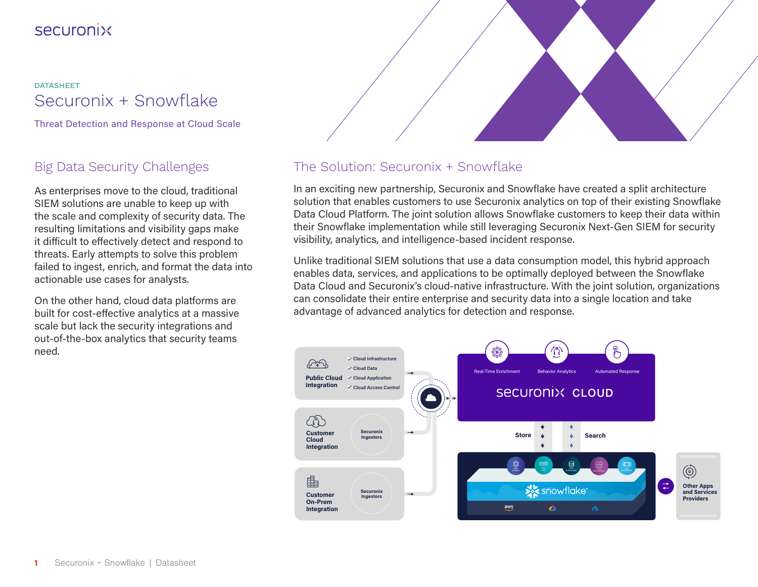## **Securonix**

Securonix + Snowflake DATASHEET

Threat Detection and Response at Cloud Scale

## Big Data Security Challenges

As enterprises move to the cloud, traditional SIEM solutions are unable to keep up with the scale and complexity of security data. The resulting limitations and visibility gaps make it difficult to effectively detect and respond to threats. Early attempts to solve this problem failed to ingest, enrich, and format the data into actionable use cases for analysts.

On the other hand, cloud data platforms are built for cost-effective analytics at a massive scale but lack the security integrations and out-of-the-box analytics that security teams need.



### The Solution: Securonix + Snowflake

In an exciting new partnership, Securonix and Snowflake have created a split architecture solution that enables customers to use Securonix analytics on top of their existing Snowflake Data Cloud Platform. The joint solution allows Snowflake customers to keep their data within their Snowflake implementation while still leveraging Securonix Next-Gen SIEM for security visibility, analytics, and intelligence-based incident response.

Unlike traditional SIEM solutions that use a data consumption model, this hybrid approach enables data, services, and applications to be optimally deployed between the Snowflake Data Cloud and Securonix's cloud-native infrastructure. With the joint solution, organizations can consolidate their entire enterprise and security data into a single location and take advantage of advanced analytics for detection and response.